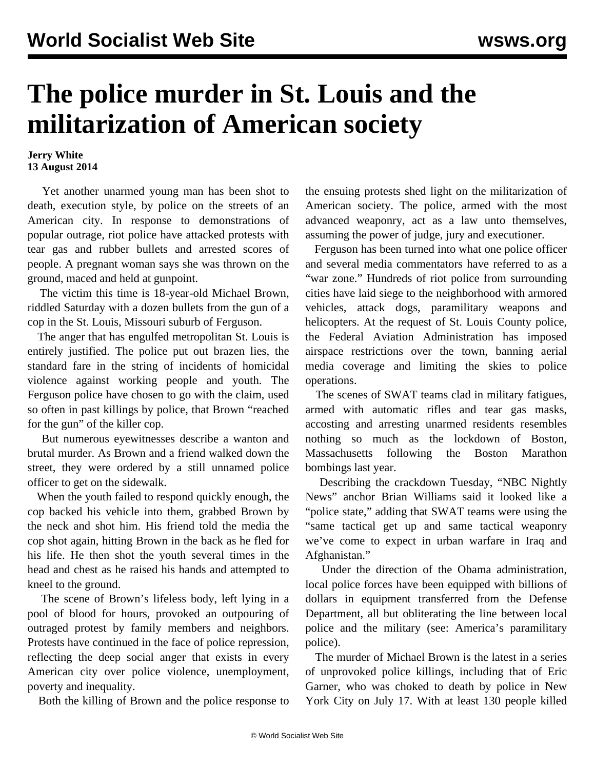## **The police murder in St. Louis and the militarization of American society**

## **Jerry White 13 August 2014**

 Yet another unarmed young man has been shot to death, execution style, by police on the streets of an American city. In response to demonstrations of popular outrage, riot police have attacked protests with tear gas and rubber bullets and arrested scores of people. A pregnant woman says she was thrown on the ground, maced and held at gunpoint.

 The victim this time is 18-year-old Michael Brown, riddled Saturday with a dozen bullets from the gun of a cop in the St. Louis, Missouri suburb of Ferguson.

 The anger that has engulfed metropolitan St. Louis is entirely justified. The police put out brazen lies, the standard fare in the string of incidents of homicidal violence against working people and youth. The Ferguson police have chosen to go with the claim, used so often in past killings by police, that Brown "reached for the gun" of the killer cop.

 But numerous eyewitnesses describe a wanton and brutal murder. As Brown and a friend walked down the street, they were ordered by a still unnamed police officer to get on the sidewalk.

 When the youth failed to respond quickly enough, the cop backed his vehicle into them, grabbed Brown by the neck and shot him. His friend told the media the cop shot again, hitting Brown in the back as he fled for his life. He then shot the youth several times in the head and chest as he raised his hands and attempted to kneel to the ground.

 The scene of Brown's lifeless body, left lying in a pool of blood for hours, provoked an outpouring of outraged protest by family members and neighbors. Protests have continued in the face of police repression, reflecting the deep social anger that exists in every American city over police violence, unemployment, poverty and inequality.

Both the killing of Brown and the police response to

the ensuing protests shed light on the militarization of American society. The police, armed with the most advanced weaponry, act as a law unto themselves, assuming the power of judge, jury and executioner.

 Ferguson has been turned into what one police officer and several media commentators have referred to as a "war zone." Hundreds of riot police from surrounding cities have laid siege to the neighborhood with armored vehicles, attack dogs, paramilitary weapons and helicopters. At the request of St. Louis County police, the Federal Aviation Administration has imposed airspace restrictions over the town, banning aerial media coverage and limiting the skies to police operations.

 The scenes of SWAT teams clad in military fatigues, armed with automatic rifles and tear gas masks, accosting and arresting unarmed residents resembles nothing so much as the lockdown of Boston, Massachusetts following the Boston Marathon bombings last year.

 Describing the crackdown Tuesday, "NBC Nightly News" anchor Brian Williams said it looked like a "police state," adding that SWAT teams were using the "same tactical get up and same tactical weaponry we've come to expect in urban warfare in Iraq and Afghanistan."

 Under the direction of the Obama administration, local police forces have been equipped with billions of dollars in equipment transferred from the Defense Department, all but obliterating the line between local police and the military (see: [America's paramilitary](/en/articles/2014/07/01/pers-j01.html) [police\)](/en/articles/2014/07/01/pers-j01.html).

 The murder of Michael Brown is the latest in a series of unprovoked police killings, including that of Eric Garner, who was choked to death by police in New York City on July 17. With at least 130 people killed